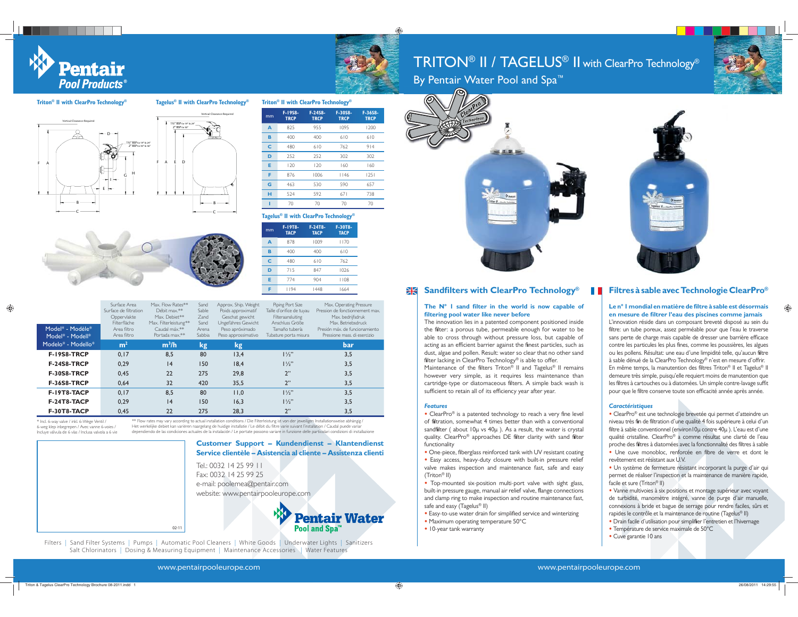Pentair **Pool Products** 

**Triton® II with ClearPro Technology®**

C



**F-36S8-TRCP**

# $\mathsf{TRITON}^\circledast$   $\mathsf{II}$  /  $\mathsf{TAGELUS}^\circledast$   $\mathsf{II}$  with ClearPro Technology $^\circ$



By Pentair Water Pool and Spa<sup>™</sup>

# AGVertical Clearance Required 1½" BSP for 19" & 24"2" BSP for 30" & 36"FA ED Vertical Clearance Required 1½" BSP for 19" & 24"2" BSP for 30"



| mm | F-19T8-<br><b>TACP</b> | F-24T8-<br><b>TACP</b>                | F-30T8-<br><b>TACP</b> |      |
|----|------------------------|---------------------------------------|------------------------|------|
|    |                        | Tagelus® II with ClearPro Technology® |                        |      |
|    | 70                     | 70                                    | 70                     | 70   |
| н  | 524                    | 592                                   | 671                    | 738  |
| G  | 463                    | 530                                   | 590                    | 657  |
| F  | 876                    | 1006                                  | 1146                   | 1251 |
| E  | 120                    | 120                                   | 160                    | 160  |
| D  | 252                    | 252                                   | 302                    | 302  |
| C  | 480                    | 610                                   | 762                    | 914  |
| B  | 400                    | 400                                   | 610                    | 610  |

**F-24S8- TRCP**

825 955 1095 1200

**F-30S8- TRCP**

**F-19S8-TRCP**

**A**

**Tagelus® II with ClearPro Technology® Triton® II with ClearPro Technology®**

| mm | 1-1918-<br><b>TACP</b> | r-2418-<br><b>TACP</b> | 1-3018-<br><b>TACP</b> |
|----|------------------------|------------------------|------------------------|
| A  | 878                    | 1009                   | 1170                   |
| B  | 400                    | 400                    | 610                    |
| Ċ  | 480                    | 610                    | 762                    |
| D  | 715                    | 847                    | 1026                   |
| E  | 774                    | 904                    | 1108                   |
| F  | 1194                   | 1448                   | 1664                   |

**Pentair Water** 

**Pool and Spa** 

| Model* - Modèle*<br>Model* - Modell* | Surface Area<br>Surface de filtration<br>Oppervlakte<br>Filterfläche<br>Area filtro<br>Area filtro | Max. Flow Rates**<br>Débit max.**<br>Max. Debiet**<br>Max. Filterleistung**<br>Caudal máx.**<br>Portada max.** | Sand<br>Sable<br>Zand<br>Sand<br>Arena<br>Sabbia | Approx. Ship. Weight<br>Poids approximatif<br>Geschat gewicht<br>Ungefähres Gewicht<br>Peso apróximado<br>Peso approssimativo | Piping Port Size<br>Taille d'orifice de tuyau<br>Filteraansluiting<br>Anschluss Größe<br>Tamaño tubería<br>Tubature porta misura | Max. Operating Pressure<br>Pression de fonctionnement max.<br>Max. bedrijfsdruk<br>Max. Betriebsdruck<br>Presión máx, de funcionamiento<br>Pressione mass, di esercizio |
|--------------------------------------|----------------------------------------------------------------------------------------------------|----------------------------------------------------------------------------------------------------------------|--------------------------------------------------|-------------------------------------------------------------------------------------------------------------------------------|----------------------------------------------------------------------------------------------------------------------------------|-------------------------------------------------------------------------------------------------------------------------------------------------------------------------|
| Modelo* - Modello*                   | m <sup>2</sup>                                                                                     | $m^3/h$                                                                                                        | kg                                               | kg                                                                                                                            |                                                                                                                                  | bar                                                                                                                                                                     |
| <b>F-19S8-TRCP</b>                   | 0.17                                                                                               | 8.5                                                                                                            | 80                                               | 13.4                                                                                                                          | $1\frac{1}{2}$                                                                                                                   | 3.5                                                                                                                                                                     |
| <b>F-24S8-TRCP</b>                   | 0.29                                                                                               | 4                                                                                                              | 150                                              | 18.4                                                                                                                          | $1\frac{1}{2}$                                                                                                                   | 3.5                                                                                                                                                                     |
| F-30S8-TRCP                          | 0.45                                                                                               | 22                                                                                                             | 275                                              | 29.8                                                                                                                          | 2"                                                                                                                               | 3.5                                                                                                                                                                     |
| <b>F-36S8-TRCP</b>                   | 0.64                                                                                               | 32                                                                                                             | 420                                              | 35.5                                                                                                                          | 2"                                                                                                                               | 3,5                                                                                                                                                                     |
| F-19T8-TACP                          | 0.17                                                                                               | 8.5                                                                                                            | 80                                               | 11.0                                                                                                                          | $1\frac{1}{2}$                                                                                                                   | 3.5                                                                                                                                                                     |
| F-24T8-TACP                          | 0.29                                                                                               | 4                                                                                                              | 150                                              | 16.3                                                                                                                          | $1\frac{1}{2}$                                                                                                                   | 3.5                                                                                                                                                                     |
| F-30T8-TACP                          | 0.45                                                                                               | 22                                                                                                             | 275                                              | 28.3                                                                                                                          | 2"                                                                                                                               | 3,5                                                                                                                                                                     |

C

\* Incl. 6-way valve / inkl. 6-Wege Ventil / 6-weg klep inbegrepen / Avec vanne 6-voies / Incluye válvula de 6 vías / Inclusa valvola a 6 vie \*\* Flow rates may vary according to actual installation conditions / Die Filterleistung ist von der jeweiligen Installationsweise abhängig /<br>Het werkelijke debiet kan variëren naargelang de huidige installatie / Le débit d dependiendo de las condiciones actuales de la instalación / Le portate possono variare in funzione delle particolari condizioni di installazione



Filters | Sand Filter Systems | Pumps | Automatic Pool Cleaners | White Goods | Underwater Lights | Sanitizers Salt Chlorinators | Dosing & Measuring Equipment | Maintenance Accessories | Water Features



# **Sandfilters with ClearPro Technology<sup>®</sup>**

## **The N° 1 sand filter in the world is now capable of filtering pool water like never before**

The innovation lies in a patented component positioned inside the filter: a porous tube, permeable enough for water to be able to cross through without pressure loss, but capable of acting as an efficient barrier against the finest particles, such as dust, algae and pollen. Result: water so clear that no other sand filter lacking in ClearPro Technology® is able to offer. Maintenance of the filters Triton<sup>®</sup> II and Tagelus<sup>®</sup> II remains however very simple, as it requires less maintenance than cartridge-type or diatomaceous filters. A simple back wash is sufficient to retain all of its efficiency year after year.

#### *Features*

- **•** ClearPro® is a patented technology to reach a very fine level of filtration, somewhat 4 times better than with a conventional sandfilter ( about 10μ vs 40μ ). As a result, the water is crystal quality. ClearPro® approaches DE filter clarity with sand filter functionality
- **t** One-piece, fiberglass reinforced tank with UV resistant coating
- **t** Easy access, heavy-duty closure with built-in pressure relief valve makes inspection and maintenance fast, safe and easy (Triton® II)
- **•** Top-mounted six-position multi-port valve with sight glass, built-in pressure gauge, manual air relief valve, flange connections and clamp ring to make inspection and routine maintenance fast, safe and easy (Tagelus® II)
- **t** Easy-to-use water drain for simplified service and winterizing **t** Maximum operating temperature 50°C
- **t** 10-year tank warranty

# **Filtres à sable avec Technologie ClearPro**<sup>®</sup>

#### **Le n° 1 mondial en matière de filtre à sable est désormais en mesure de filtrer l'eau des piscines comme jamais**

L'innovation réside dans un composant breveté disposé au sein du filtre: un tube poreux, assez perméable pour que l'eau le traverse sans perte de charge mais capable de dresser une barrière efficace contre les particules les plus fines, comme les poussières, les algues ou les pollens. Résultat: une eau d'une limpidité telle, qu'aucun filtre à sable dénué de la ClearPro Technology® n'est en mesure d'offrir. En même temps, la manutention des filtres Triton® II et Tagelus® II demeure très simple, puisqu'elle requiert moins de manutention que les filtres à cartouches ou à diatomées. Un simple contre-lavage suffit pour que le filtre conserve toute son efficacité année après année.

### *Caractéristiques*

**t** ClearPro® est une technologie brevetée qui permet d'atteindre un niveau très fin de filtration d'une qualité 4 fois supérieure à celui d'un filtre à sable conventionnel (environ10μ contre 40μ ). L'eau est d'une qualité cristalline. ClearPro® a comme résultat une clarté de l'eau proche des filtres à diatomées avec la fonctionnalité des filtres à sable **t** Une cuve monobloc, renforcée en fibre de verre et dont le

- revêtement est résistant aux U.V.**t** Un système de fermeture résistant incorporant la purge d'air qui
- permet de réaliser l'inspection et la maintenance de manière rapide, facile et sure (Triton® II)
- **t** Vanne multivoies à six positions et montage supérieur avec voyant de turbidité, manomètre intégré, vanne de purge d'air manuelle, connexions à bride et bague de serrage pour rendre faciles, sûrs et rapides le contrôle et la maintenance de routine (Tagelus® II)
- **t** Drain facile d'utilisation pour simplifier l'entretien et l'hivernage
- **t** Température de service maximale de 50°C **t** Cuve garantie 10 ans

Triton & Tagelus ClearPro Technology Brochure 08-2011.indd 1 28/955 26/08/2011 14:29:55

02-11

⊕